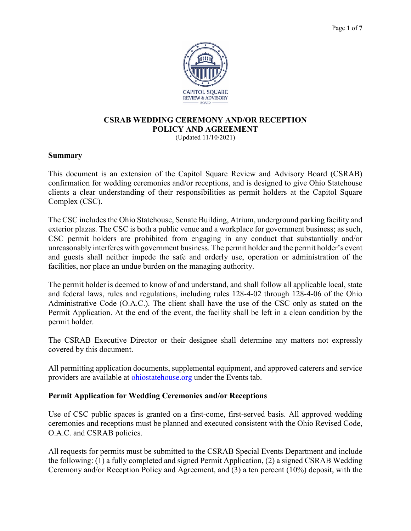

# **CSRAB WEDDING CEREMONY AND/OR RECEPTION POLICY AND AGREEMENT**

(Updated 11/10/2021)

#### **Summary**

This document is an extension of the Capitol Square Review and Advisory Board (CSRAB) confirmation for wedding ceremonies and/or receptions, and is designed to give Ohio Statehouse clients a clear understanding of their responsibilities as permit holders at the Capitol Square Complex (CSC).

The CSC includes the Ohio Statehouse, Senate Building, Atrium, underground parking facility and exterior plazas. The CSC is both a public venue and a workplace for government business; as such, CSC permit holders are prohibited from engaging in any conduct that substantially and/or unreasonably interferes with government business. The permit holder and the permit holder's event and guests shall neither impede the safe and orderly use, operation or administration of the facilities, nor place an undue burden on the managing authority.

The permit holder is deemed to know of and understand, and shall follow all applicable local, state and federal laws, rules and regulations, including rules 128-4-02 through 128-4-06 of the Ohio Administrative Code (O.A.C.). The client shall have the use of the CSC only as stated on the Permit Application. At the end of the event, the facility shall be left in a clean condition by the permit holder.

The CSRAB Executive Director or their designee shall determine any matters not expressly covered by this document.

All permitting application documents, supplemental equipment, and approved caterers and service providers are available at [ohiostatehouse.org](http://www.ohiostatehouse.org/) under the Events tab.

#### **Permit Application for Wedding Ceremonies and/or Receptions**

Use of CSC public spaces is granted on a first-come, first-served basis. All approved wedding ceremonies and receptions must be planned and executed consistent with the Ohio Revised Code, O.A.C. and CSRAB policies.

All requests for permits must be submitted to the CSRAB Special Events Department and include the following: (1) a fully completed and signed Permit Application, (2) a signed CSRAB Wedding Ceremony and/or Reception Policy and Agreement, and (3) a ten percent (10%) deposit, with the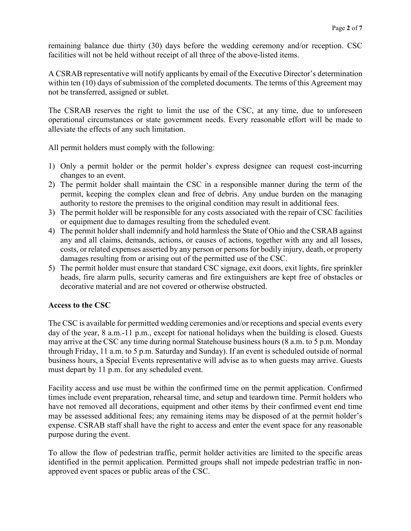remaining balance due thirty (30) days before the wedding ceremony and/or reception. CSC facilities will not be held without receipt of all three of the above-listed items.

A CSRAB representative will notify applicants by email of the Executive Director's determination within ten (10) days of submission of the completed documents. The terms of this Agreement may not be transferred, assigned or sublet.

The CSRAB reserves the right to limit the use of the CSC, at any time, due to unforeseen operational circumstances or state government needs. Every reasonable effort will be made to alleviate the effects of any such limitation.

All permit holders must comply with the following:

- 1) Only a permit holder or the permit holder's express designee can request cost-incurring changes to an event.
- 2) The permit holder shall maintain the CSC in a responsible manner during the term of the permit, keeping the complex clean and free of debris. Any undue burden on the managing authority to restore the premises to the original condition may result in additional fees.
- 3) The permit holder will be responsible for any costs associated with the repair of CSC facilities or equipment due to damages resulting from the scheduled event.
- 4) The permit holder shall indemnify and hold harmless the State of Ohio and the CSRAB against any and all claims, demands, actions, or causes of actions, together with any and all losses, costs, or related expenses asserted by any person or persons for bodily injury, death, or property damages resulting from or arising out of the permitted use of the CSC.
- 5) The permit holder must ensure that standard CSC signage, exit doors, exit lights, fire sprinkler heads, fire alarm pulls, security cameras and fire extinguishers are kept free of obstacles or decorative material and are not covered or otherwise obstructed.

## **Access to the CSC**

The CSC is available for permitted wedding ceremonies and/or receptions and special events every day of the year, 8 a.m.-11 p.m., except for national holidays when the building is closed. Guests may arrive at the CSC any time during normal Statehouse business hours (8 a.m. to 5 p.m. Monday through Friday, 11 a.m. to 5 p.m. Saturday and Sunday). If an event is scheduled outside of normal business hours, a Special Events representative will advise as to when guests may arrive. Guests must depart by 11 p.m. for any scheduled event.

Facility access and use must be within the confirmed time on the permit application. Confirmed times include event preparation, rehearsal time, and setup and teardown time. Permit holders who have not removed all decorations, equipment and other items by their confirmed event end time may be assessed additional fees; any remaining items may be disposed of at the permit holder's expense. CSRAB staff shall have the right to access and enter the event space for any reasonable purpose during the event.

To allow the flow of pedestrian traffic, permit holder activities are limited to the specific areas identified in the permit application. Permitted groups shall not impede pedestrian traffic in nonapproved event spaces or public areas of the CSC.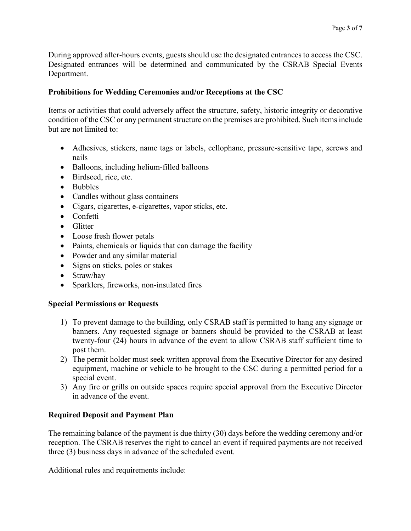During approved after-hours events, guests should use the designated entrances to access the CSC. Designated entrances will be determined and communicated by the CSRAB Special Events Department.

# **Prohibitions for Wedding Ceremonies and/or Receptions at the CSC**

Items or activities that could adversely affect the structure, safety, historic integrity or decorative condition of the CSC or any permanent structure on the premises are prohibited. Such items include but are not limited to:

- Adhesives, stickers, name tags or labels, cellophane, pressure-sensitive tape, screws and nails
- Balloons, including helium-filled balloons
- Birdseed, rice, etc.
- Bubbles
- Candles without glass containers
- Cigars, cigarettes, e-cigarettes, vapor sticks, etc.
- Confetti
- Glitter
- Loose fresh flower petals
- Paints, chemicals or liquids that can damage the facility
- Powder and any similar material
- Signs on sticks, poles or stakes
- Straw/hay
- Sparklers, fireworks, non-insulated fires

## **Special Permissions or Requests**

- 1) To prevent damage to the building, only CSRAB staff is permitted to hang any signage or banners. Any requested signage or banners should be provided to the CSRAB at least twenty-four (24) hours in advance of the event to allow CSRAB staff sufficient time to post them.
- 2) The permit holder must seek written approval from the Executive Director for any desired equipment, machine or vehicle to be brought to the CSC during a permitted period for a special event.
- 3) Any fire or grills on outside spaces require special approval from the Executive Director in advance of the event.

## **Required Deposit and Payment Plan**

The remaining balance of the payment is due thirty (30) days before the wedding ceremony and/or reception. The CSRAB reserves the right to cancel an event if required payments are not received three (3) business days in advance of the scheduled event.

Additional rules and requirements include: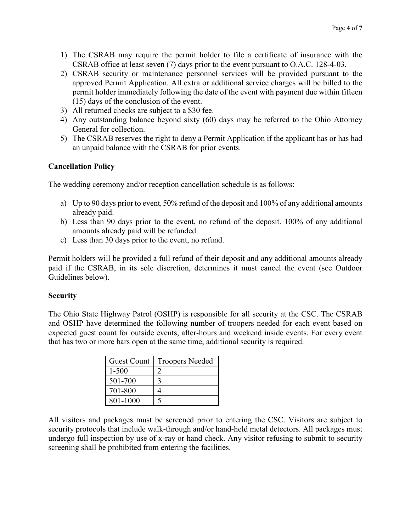- 1) The CSRAB may require the permit holder to file a certificate of insurance with the CSRAB office at least seven (7) days prior to the event pursuant to O.A.C. 128-4-03.
- 2) CSRAB security or maintenance personnel services will be provided pursuant to the approved Permit Application. All extra or additional service charges will be billed to the permit holder immediately following the date of the event with payment due within fifteen (15) days of the conclusion of the event.
- 3) All returned checks are subject to a \$30 fee.
- 4) Any outstanding balance beyond sixty (60) days may be referred to the Ohio Attorney General for collection.
- 5) The CSRAB reserves the right to deny a Permit Application if the applicant has or has had an unpaid balance with the CSRAB for prior events.

## **Cancellation Policy**

The wedding ceremony and/or reception cancellation schedule is as follows:

- a) Up to 90 days prior to event, 50% refund of the deposit and 100% of any additional amounts already paid.
- b) Less than 90 days prior to the event, no refund of the deposit. 100% of any additional amounts already paid will be refunded.
- c) Less than 30 days prior to the event, no refund.

Permit holders will be provided a full refund of their deposit and any additional amounts already paid if the CSRAB, in its sole discretion, determines it must cancel the event (see Outdoor Guidelines below).

#### **Security**

The Ohio State Highway Patrol (OSHP) is responsible for all security at the CSC. The CSRAB and OSHP have determined the following number of troopers needed for each event based on expected guest count for outside events, after-hours and weekend inside events. For every event that has two or more bars open at the same time, additional security is required.

| Guest Count | <b>Troopers Needed</b> |
|-------------|------------------------|
| 1-500       |                        |
| 501-700     |                        |
| 701-800     |                        |
| 801-1000    |                        |

All visitors and packages must be screened prior to entering the CSC. Visitors are subject to security protocols that include walk-through and/or hand-held metal detectors. All packages must undergo full inspection by use of x-ray or hand check. Any visitor refusing to submit to security screening shall be prohibited from entering the facilities.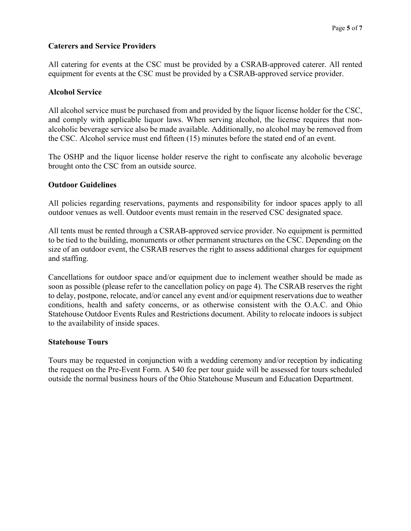## **Caterers and Service Providers**

All catering for events at the CSC must be provided by a CSRAB-approved caterer. All rented equipment for events at the CSC must be provided by a CSRAB-approved service provider.

#### **Alcohol Service**

All alcohol service must be purchased from and provided by the liquor license holder for the CSC, and comply with applicable liquor laws. When serving alcohol, the license requires that nonalcoholic beverage service also be made available. Additionally, no alcohol may be removed from the CSC. Alcohol service must end fifteen (15) minutes before the stated end of an event.

The OSHP and the liquor license holder reserve the right to confiscate any alcoholic beverage brought onto the CSC from an outside source.

## **Outdoor Guidelines**

All policies regarding reservations, payments and responsibility for indoor spaces apply to all outdoor venues as well. Outdoor events must remain in the reserved CSC designated space.

All tents must be rented through a CSRAB-approved service provider. No equipment is permitted to be tied to the building, monuments or other permanent structures on the CSC. Depending on the size of an outdoor event, the CSRAB reserves the right to assess additional charges for equipment and staffing.

Cancellations for outdoor space and/or equipment due to inclement weather should be made as soon as possible (please refer to the cancellation policy on page 4). The CSRAB reserves the right to delay, postpone, relocate, and/or cancel any event and/or equipment reservations due to weather conditions, health and safety concerns, or as otherwise consistent with the O.A.C. and Ohio Statehouse Outdoor Events Rules and Restrictions document. Ability to relocate indoors is subject to the availability of inside spaces.

#### **Statehouse Tours**

Tours may be requested in conjunction with a wedding ceremony and/or reception by indicating the request on the Pre-Event Form. A \$40 fee per tour guide will be assessed for tours scheduled outside the normal business hours of the Ohio Statehouse Museum and Education Department.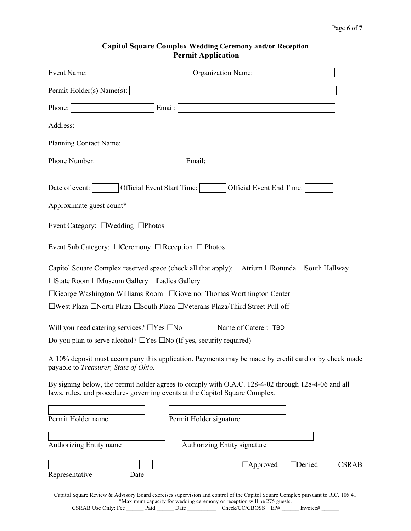## **Capitol Square Complex Wedding Ceremony and/or Reception Permit Application**

| Event Name:<br>Organization Name:                                                                                                                                                                                                                                                         |
|-------------------------------------------------------------------------------------------------------------------------------------------------------------------------------------------------------------------------------------------------------------------------------------------|
| Permit Holder(s) Name(s):                                                                                                                                                                                                                                                                 |
| Email:<br>Phone:                                                                                                                                                                                                                                                                          |
| Address:                                                                                                                                                                                                                                                                                  |
| Planning Contact Name:                                                                                                                                                                                                                                                                    |
| Email:<br>Phone Number:                                                                                                                                                                                                                                                                   |
| Date of event:<br>Official Event Start Time:<br>Official Event End Time:                                                                                                                                                                                                                  |
| Approximate guest count*                                                                                                                                                                                                                                                                  |
| Event Category: □Wedding □Photos                                                                                                                                                                                                                                                          |
| Event Sub Category: □ Ceremony □ Reception □ Photos                                                                                                                                                                                                                                       |
| Capitol Square Complex reserved space (check all that apply): □Atrium □Rotunda □South Hallway                                                                                                                                                                                             |
| □State Room □Museum Gallery □Ladies Gallery                                                                                                                                                                                                                                               |
| □George Washington Williams Room □Governor Thomas Worthington Center                                                                                                                                                                                                                      |
| □West Plaza □North Plaza □South Plaza □Veterans Plaza/Third Street Pull off                                                                                                                                                                                                               |
| Will you need catering services? $\Box$ Yes $\Box$ No<br>Name of Caterer:  TBD                                                                                                                                                                                                            |
| Do you plan to serve alcohol? $\Box$ Yes $\Box$ No (If yes, security required)                                                                                                                                                                                                            |
| A 10% deposit must accompany this application. Payments may be made by credit card or by check made<br>payable to Treasurer, State of Ohio.                                                                                                                                               |
| By signing below, the permit holder agrees to comply with O.A.C. 128-4-02 through 128-4-06 and all<br>laws, rules, and procedures governing events at the Capitol Square Complex.                                                                                                         |
| Permit Holder name<br>Permit Holder signature                                                                                                                                                                                                                                             |
| Authorizing Entity signature<br>Authorizing Entity name                                                                                                                                                                                                                                   |
| $\Box$ Approved<br>$\Box$ Denied<br><b>CSRAB</b><br>Representative<br>Date                                                                                                                                                                                                                |
| Capitol Square Review & Advisory Board exercises supervision and control of the Capitol Square Complex pursuant to R.C. 105.41<br>*Maximum capacity for wedding ceremony or reception will be 275 guests.<br>CSRAB Use Only: Fee<br>Check/CC/CBOSS EP#<br>Paid<br><b>Date</b><br>Invoice# |